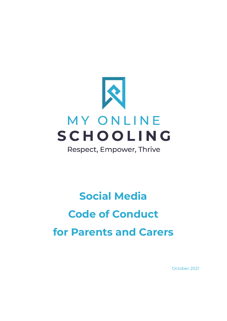

Respect, Empower, Thrive

# **Social Media Code of Conduct for Parents and Carers**

October 2021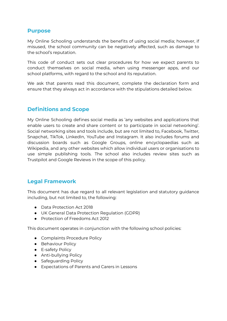### **Purpose**

My Online Schooling understands the benefits of using social media; however, if misused, the school community can be negatively affected, such as damage to the school's reputation.

This code of conduct sets out clear procedures for how we expect parents to conduct themselves on social media, when using messenger apps, and our school platforms, with regard to the school and its reputation.

We ask that parents read this document, complete the declaration form and ensure that they always act in accordance with the stipulations detailed below.

## **Definitions and Scope**

My Online Schooling defines social media as 'any websites and applications that enable users to create and share content or to participate in social networking'. Social networking sites and tools include, but are not limited to, Facebook, Twitter, Snapchat, TikTok, LinkedIn, YouTube and Instagram. It also includes forums and discussion boards such as Google Groups, online encyclopaedias such as Wikipedia, and any other websites which allow individual users or organisations to use simple publishing tools. The school also includes review sites such as Trustpilot and Google Reviews in the scope of this policy.

### **Legal Framework**

This document has due regard to all relevant legislation and statutory guidance including, but not limited to, the following:

- Data Protection Act 2018
- UK General Data Protection Regulation (GDPR)
- Protection of Freedoms Act 2012

This document operates in conjunction with the following school policies:

- Complaints Procedure Policy
- **•** Behaviour Policy
- E-safety Policy
- Anti-bullying Policy
- Safeguarding Policy
- Expectations of Parents and Carers in Lessons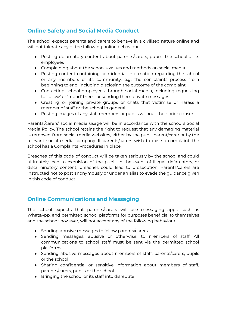# **Online Safety and Social Media Conduct**

The school expects parents and carers to behave in a civilised nature online and will not tolerate any of the following online behaviour:

- Posting defamatory content about parents/carers, pupils, the school or its employees
- Complaining about the school's values and methods on social media
- Posting content containing confidential information regarding the school or any members of its community, e.g. the complaints process from beginning to end, including disclosing the outcome of the complaint
- Contacting school employees through social media, including requesting to 'follow' or 'friend' them, or sending them private messages
- Creating or joining private groups or chats that victimise or harass a member of staff or the school in general
- Posting images of any staff members or pupils without their prior consent

Parents'/carers' social media usage will be in accordance with the school's Social Media Policy. The school retains the right to request that any damaging material is removed from social media websites, either by the pupil, parent/carer or by the relevant social media company. If parents/carers wish to raise a complaint, the school has a Complaints Procedures in place.

Breaches of this code of conduct will be taken seriously by the school and could ultimately lead to expulsion of the pupil. In the event of illegal, defamatory, or discriminatory content, breaches could lead to prosecution. Parents/carers are instructed not to post anonymously or under an alias to evade the guidance given in this code of conduct.

# **Online Communications and Messaging**

The school expects that parents/carers will use messaging apps, such as WhatsApp, and permitted school platforms for purposes beneficial to themselves and the school; however, will not accept any of the following behaviour:

- Sending abusive messages to fellow parents/carers
- Sending messages, abusive or otherwise, to members of staff. All communications to school staff must be sent via the permitted school platforms
- Sending abusive messages about members of staff, parents/carers, pupils or the school
- Sharing confidential or sensitive information about members of staff, parents/carers, pupils or the school
- Bringing the school or its staff into disrepute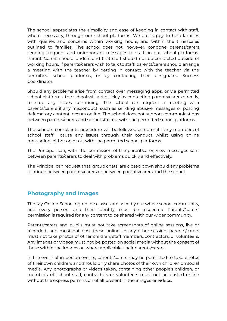The school appreciates the simplicity and ease of keeping in contact with staff, where necessary, through our school platforms. We are happy to help families with queries and concerns within working hours, and within the timescales outlined to families. The school does not, however, condone parents/carers sending frequent and unimportant messages to staff on our school platforms. Parents/carers should understand that staff should not be contacted outside of working hours. If parents/carers wish to talk to staff, parents/carers should arrange a meeting with the teacher by getting in contact with the teacher via the permitted school platforms, or by contacting their designated Success Coordinator.

Should any problems arise from contact over messaging apps, or via permitted school platforms, the school will act quickly by contacting parents/carers directly, to stop any issues continuing. The school can request a meeting with parents/carers if any misconduct, such as sending abusive messages or posting defamatory content, occurs online. The school does not support communications between parents/carers and school staff outwith the permitted school platforms.

The school's complaints procedure will be followed as normal if any members of school staff cause any issues through their conduct whilst using online messaging, either on or outwith the permitted school platforms.

The Principal can, with the permission of the parent/carer, view messages sent between parents/carers to deal with problems quickly and effectively.

The Principal can request that 'group chats' are closed down should any problems continue between parents/carers or between parents/carers and the school.

### **Photography and Images**

The My Online Schooling online classes are used by our whole school community, and every person, and their identity, must be respected. Parents'/carers' permission is required for any content to be shared with our wider community.

Parents/carers and pupils must not take screenshots of online sessions, live or recorded, and must not post these online. In any other session, parents/carers must not take photos of other children, staff members, contractors, or volunteers. Any images or videos must not be posted on social media without the consent of those within the images or, where applicable, their parents/carers.

In the event of in-person events, parents/carers may be permitted to take photos of their own children, and should only share photos of their own children on social media. Any photographs or videos taken, containing other people's children, or members of school staff, contractors or volunteers must not be posted online without the express permission of all present in the images or videos.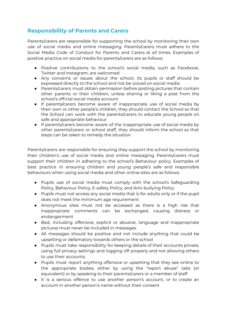## **Responsibility of Parents and Carers**

Parents/carers are responsible for supporting the school by monitoring their own use of social media and online messaging. Parents/carers must adhere to the Social Media Code of Conduct for Parents and Carers at all times. Examples of positive practice on social media for parents/carers are as follows:

- Positive contributions to the school's social media, such as Facebook, Twitter and Instagram, are welcomed
- Any concerns or issues about the school, its pupils or staff should be expressed directly to the school and not be voiced on social media
- Parents/carers must obtain permission before posting pictures that contain other parents or their children, unless sharing or liking a post from the school's official social media account
- If parents/carers become aware of inappropriate use of social media by their own or other people's children, they should contact the School so that the School can work with the parents/carers to educate young people on safe and appropriate behaviour
- If parents/carers become aware of the inappropriate use of social media by other parents/carers or school staff, they should inform the school so that steps can be taken to remedy the situation

Parents/carers are responsible for ensuring they support the school by monitoring their children's use of social media and online messaging. Parents/carers must support their children in adhering to the school's Behaviour policy. Examples of best practice in ensuring children and young people's safe and responsible behaviours when using social media and other online sites are as follows:

- Pupils use of social media must comply with the school's Safeguarding Policy, Behaviour Policy, E-safety Policy, and Anti-bullying Policy
- Pupils must not access any social media that is for adults only or if the pupil does not meet the minimum age requirement
- Anonymous sites must not be accessed as there is a high risk that inappropriate comments can be exchanged, causing distress or endangerment
- Bad, including offensive, explicit or abusive, language and inappropriate pictures must never be included in messages
- All messages should be positive and not include anything that could be upsetting or defamatory towards others or the school
- Pupils must take responsibility for keeping details of their accounts private, using full privacy settings and logging off properly and not allowing others to use their accounts
- Pupils must report anything offensive or upsetting that they see online to the appropriate bodies, either by using the "report abuse" tabs (or equivalent) or by speaking to their parents/carers or a member of staff
- It is a serious offence to use another person's account, or to create an account in another person's name without their consent